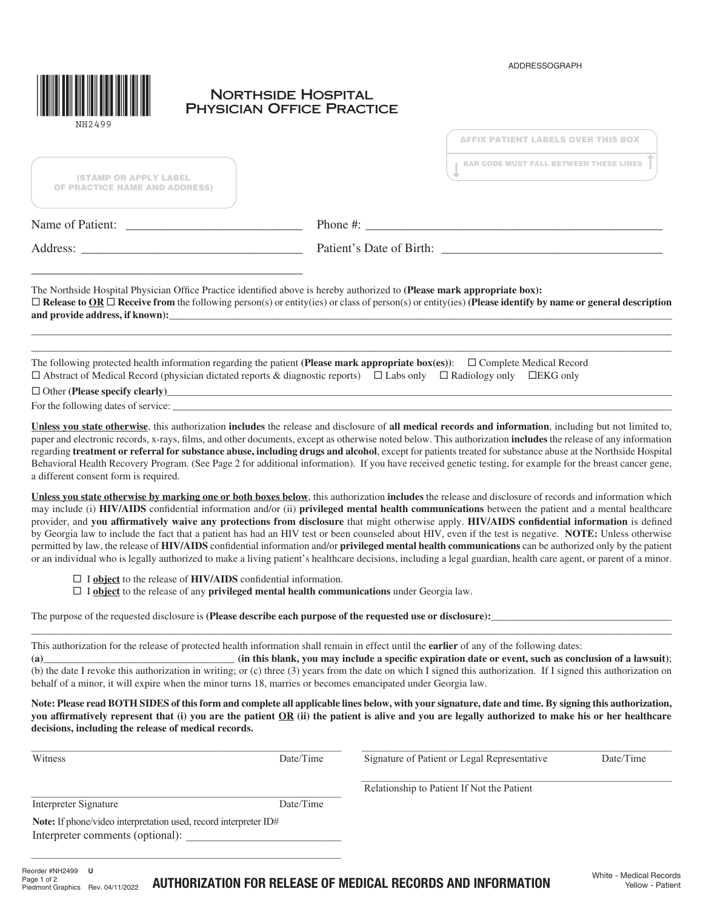ADDRESSOGRAPH



## **NORTHSIDE HOSPITAL TRANSICIAN OFFICE PRACTICE**

| NH2499                                                                             | <b>AFFIX PATIENT LABELS OVER THIS BOX</b>                                                                                                                                                                                                                                                                                                                                                                                                                                                                                                                                                                                                                                                                                                                                                                                                                                                                                                               |  |  |
|------------------------------------------------------------------------------------|---------------------------------------------------------------------------------------------------------------------------------------------------------------------------------------------------------------------------------------------------------------------------------------------------------------------------------------------------------------------------------------------------------------------------------------------------------------------------------------------------------------------------------------------------------------------------------------------------------------------------------------------------------------------------------------------------------------------------------------------------------------------------------------------------------------------------------------------------------------------------------------------------------------------------------------------------------|--|--|
| <b>(STAMP OR APPLY LABEL</b><br><b>OF PRACTICE NAME AND ADDRESS)</b>               | <b>BAR CODE MUST FALL BETWEEN THESE LINES</b>                                                                                                                                                                                                                                                                                                                                                                                                                                                                                                                                                                                                                                                                                                                                                                                                                                                                                                           |  |  |
|                                                                                    |                                                                                                                                                                                                                                                                                                                                                                                                                                                                                                                                                                                                                                                                                                                                                                                                                                                                                                                                                         |  |  |
| Address:                                                                           | Patient's Date of Birth:                                                                                                                                                                                                                                                                                                                                                                                                                                                                                                                                                                                                                                                                                                                                                                                                                                                                                                                                |  |  |
|                                                                                    | The Northside Hospital Physician Office Practice identified above is hereby authorized to (Please mark appropriate box):<br>$\Box$ Release to OR $\Box$ Receive from the following person(s) or entity(ies) or class of person(s) or entity(ies) (Please identify by name or general description<br>and provide address, if known):                                                                                                                                                                                                                                                                                                                                                                                                                                                                                                                                                                                                                     |  |  |
|                                                                                    | The following protected health information regarding the patient (Please mark appropriate box(es)): $\Box$ Complete Medical Record<br>$\Box$ Abstract of Medical Record (physician dictated reports & diagnostic reports) $\Box$ Labs only $\Box$ Radiology only $\Box$ EKG only                                                                                                                                                                                                                                                                                                                                                                                                                                                                                                                                                                                                                                                                        |  |  |
|                                                                                    | $\Box$ Other (Please specify clearly)                                                                                                                                                                                                                                                                                                                                                                                                                                                                                                                                                                                                                                                                                                                                                                                                                                                                                                                   |  |  |
|                                                                                    |                                                                                                                                                                                                                                                                                                                                                                                                                                                                                                                                                                                                                                                                                                                                                                                                                                                                                                                                                         |  |  |
| a different consent form is required.                                              | Unless you state otherwise, this authorization includes the release and disclosure of all medical records and information, including but not limited to,<br>paper and electronic records, x-rays, films, and other documents, except as otherwise noted below. This authorization includes the release of any information<br>regarding treatment or referral for substance abuse, including drugs and alcohol, except for patients treated for substance abuse at the Northside Hospital<br>Behavioral Health Recovery Program. (See Page 2 for additional information). If you have received genetic testing, for example for the breast cancer gene,                                                                                                                                                                                                                                                                                                  |  |  |
|                                                                                    | Unless you state otherwise by marking one or both boxes below, this authorization includes the release and disclosure of records and information which<br>may include (i) HIV/AIDS confidential information and/or (ii) privileged mental health communications between the patient and a mental healthcare<br>provider, and you affirmatively waive any protections from disclosure that might otherwise apply. HIV/AIDS confidential information is defined<br>by Georgia law to include the fact that a patient has had an HIV test or been counseled about HIV, even if the test is negative. NOTE: Unless otherwise<br>permitted by law, the release of HIV/AIDS confidential information and/or privileged mental health communications can be authorized only by the patient<br>or an individual who is legally authorized to make a living patient's healthcare decisions, including a legal guardian, health care agent, or parent of a minor. |  |  |
| $\Box$ I <b>object</b> to the release of <b>HIV/AIDS</b> confidential information. | $\Box$ I object to the release of any privileged mental health communications under Georgia law.                                                                                                                                                                                                                                                                                                                                                                                                                                                                                                                                                                                                                                                                                                                                                                                                                                                        |  |  |
|                                                                                    | $\mathbf{r}$ , and the contract the contract of the contract of the contract of the contract of the contract of the contract of the contract of the contract of the contract of the contract of the contract of the contract of t                                                                                                                                                                                                                                                                                                                                                                                                                                                                                                                                                                                                                                                                                                                       |  |  |

The purpose of the requested disclosure is **(Please describe each purpose of the requested use or disclosure):** 

This authorization for the release of protected health information shall remain in effect until the **earlier** of any of the following dates:

**(a)**\_\_\_\_\_\_\_\_\_\_\_\_\_\_\_\_\_\_\_\_\_\_\_\_\_\_\_\_\_\_\_\_\_\_\_\_\_ **(in this blank, you may include a specific expiration date or event, such as conclusion of a lawsuit)**; (b) the date I revoke this authorization in writing; or (c) three (3) years from the date on which I signed this authorization. If I signed this authorization on behalf of a minor, it will expire when the minor turns 18, marries or becomes emancipated under Georgia law.

\_\_\_\_\_\_\_\_\_\_\_\_\_\_\_\_\_\_\_\_\_\_\_\_\_\_\_\_\_\_\_\_\_\_\_\_\_\_\_\_\_\_\_\_\_\_\_\_\_\_\_\_\_\_\_\_\_\_\_\_\_\_\_\_\_\_\_\_\_\_\_\_\_\_\_\_\_\_\_\_\_\_\_\_\_\_\_\_\_\_\_\_\_\_\_\_\_\_\_\_\_\_\_\_\_\_\_\_\_\_\_\_\_\_\_\_\_\_\_\_\_\_\_\_

**Note: Please read BOTH SIDES of this form and complete all applicable lines below, with your signature, date and time. By signing this authorization, you affirmatively represent that (i) you are the patient OR (ii) the patient is alive and you are legally authorized to make his or her healthcare decisions, including the release of medical records.**

| Witness                                                          | Date/Time | Signature of Patient or Legal Representative | Date/Time           |
|------------------------------------------------------------------|-----------|----------------------------------------------|---------------------|
|                                                                  |           | Relationship to Patient If Not the Patient   |                     |
| Interpreter Signature                                            | Date/Time |                                              |                     |
| Note: If phone/video interpretation used, record interpreter ID# |           |                                              |                     |
| Interpreter comments (optional):                                 |           |                                              |                     |
|                                                                  |           |                                              |                     |
| eorder #NH2499}<br><b>U</b>                                      |           |                                              | White Modical Pocou |

AUTHORIZATION FOR RELEASE OF MEDICAL RECORDS AND INFORMATION